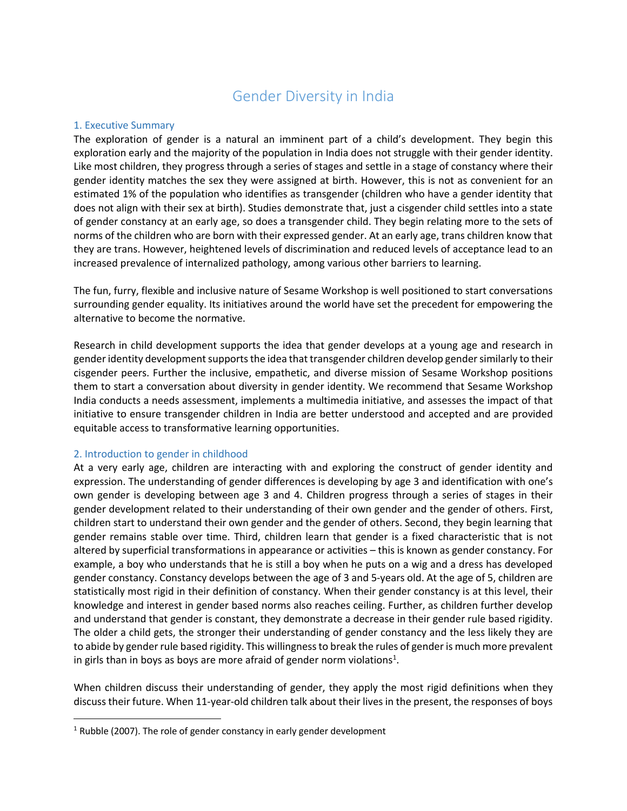# Gender Diversity in India

# 1. Executive Summary

The exploration of gender is a natural an imminent part of a child's development. They begin this exploration early and the majority of the population in India does not struggle with their gender identity. Like most children, they progress through a series of stages and settle in a stage of constancy where their gender identity matches the sex they were assigned at birth. However, this is not as convenient for an estimated 1% of the population who identifies as transgender (children who have a gender identity that does not align with their sex at birth). Studies demonstrate that, just a cisgender child settles into a state of gender constancy at an early age, so does a transgender child. They begin relating more to the sets of norms of the children who are born with their expressed gender. At an early age, trans children know that they are trans. However, heightened levels of discrimination and reduced levels of acceptance lead to an increased prevalence of internalized pathology, among various other barriers to learning.

The fun, furry, flexible and inclusive nature of Sesame Workshop is well positioned to start conversations surrounding gender equality. Its initiatives around the world have set the precedent for empowering the alternative to become the normative.

Research in child development supports the idea that gender develops at a young age and research in gender identity development supports the idea that transgender children develop gender similarly to their cisgender peers. Further the inclusive, empathetic, and diverse mission of Sesame Workshop positions them to start a conversation about diversity in gender identity. We recommend that Sesame Workshop India conducts a needs assessment, implements a multimedia initiative, and assesses the impact of that initiative to ensure transgender children in India are better understood and accepted and are provided equitable access to transformative learning opportunities.

# 2. Introduction to gender in childhood

At a very early age, children are interacting with and exploring the construct of gender identity and expression. The understanding of gender differences is developing by age 3 and identification with one's own gender is developing between age 3 and 4. Children progress through a series of stages in their gender development related to their understanding of their own gender and the gender of others. First, children start to understand their own gender and the gender of others. Second, they begin learning that gender remains stable over time. Third, children learn that gender is a fixed characteristic that is not altered by superficial transformations in appearance or activities – this is known as gender constancy. For example, a boy who understands that he is still a boy when he puts on a wig and a dress has developed gender constancy. Constancy develops between the age of 3 and 5-years old. At the age of 5, children are statistically most rigid in their definition of constancy. When their gender constancy is at this level, their knowledge and interest in gender based norms also reaches ceiling. Further, as children further develop and understand that gender is constant, they demonstrate a decrease in their gender rule based rigidity. The older a child gets, the stronger their understanding of gender constancy and the less likely they are to abide by gender rule based rigidity. This willingness to break the rules of gender is much more prevalent in girls than in boys as boys are more afraid of gender norm violations<sup>1</sup>.

When children discuss their understanding of gender, they apply the most rigid definitions when they discuss their future. When 11-year-old children talk about their lives in the present, the responses of boys

 $1$  Rubble (2007). The role of gender constancy in early gender development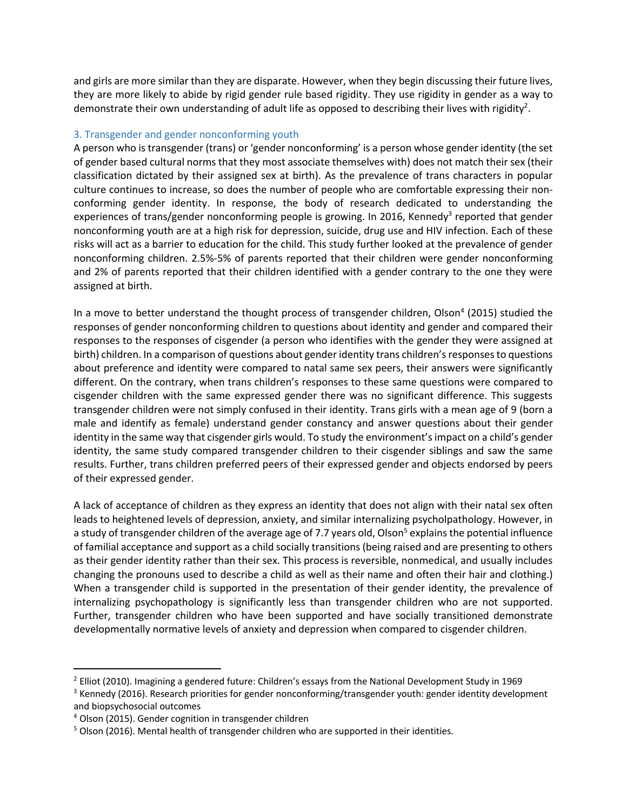and girls are more similar than they are disparate. However, when they begin discussing their future lives, they are more likely to abide by rigid gender rule based rigidity. They use rigidity in gender as a way to demonstrate their own understanding of adult life as opposed to describing their lives with rigidity<sup>2</sup>.

## 3. Transgender and gender nonconforming youth

A person who is transgender (trans) or 'gender nonconforming' is a person whose gender identity (the set of gender based cultural norms that they most associate themselves with) does not match their sex (their classification dictated by their assigned sex at birth). As the prevalence of trans characters in popular culture continues to increase, so does the number of people who are comfortable expressing their nonconforming gender identity. In response, the body of research dedicated to understanding the experiences of trans/gender nonconforming people is growing. In 2016, Kennedy<sup>3</sup> reported that gender nonconforming youth are at a high risk for depression, suicide, drug use and HIV infection. Each of these risks will act as a barrier to education for the child. This study further looked at the prevalence of gender nonconforming children. 2.5%-5% of parents reported that their children were gender nonconforming and 2% of parents reported that their children identified with a gender contrary to the one they were assigned at birth.

In a move to better understand the thought process of transgender children, Olson<sup>4</sup> (2015) studied the responses of gender nonconforming children to questions about identity and gender and compared their responses to the responses of cisgender (a person who identifies with the gender they were assigned at birth) children. In a comparison of questions about gender identity trans children's responses to questions about preference and identity were compared to natal same sex peers, their answers were significantly different. On the contrary, when trans children's responses to these same questions were compared to cisgender children with the same expressed gender there was no significant difference. This suggests transgender children were not simply confused in their identity. Trans girls with a mean age of 9 (born a male and identify as female) understand gender constancy and answer questions about their gender identity in the same way that cisgender girls would. To study the environment's impact on a child's gender identity, the same study compared transgender children to their cisgender siblings and saw the same results. Further, trans children preferred peers of their expressed gender and objects endorsed by peers of their expressed gender.

A lack of acceptance of children as they express an identity that does not align with their natal sex often leads to heightened levels of depression, anxiety, and similar internalizing psycholpathology. However, in a study of transgender children of the average age of 7.7 years old, Olson<sup>5</sup> explains the potential influence of familial acceptance and support as a child socially transitions (being raised and are presenting to others as their gender identity rather than their sex. This process is reversible, nonmedical, and usually includes changing the pronouns used to describe a child as well as their name and often their hair and clothing.) When a transgender child is supported in the presentation of their gender identity, the prevalence of internalizing psychopathology is significantly less than transgender children who are not supported. Further, transgender children who have been supported and have socially transitioned demonstrate developmentally normative levels of anxiety and depression when compared to cisgender children.

<sup>&</sup>lt;sup>2</sup> Elliot (2010). Imagining a gendered future: Children's essays from the National Development Study in 1969

<sup>3</sup> Kennedy (2016). Research priorities for gender nonconforming/transgender youth: gender identity development and biopsychosocial outcomes

<sup>4</sup> Olson (2015). Gender cognition in transgender children

 $5$  Olson (2016). Mental health of transgender children who are supported in their identities.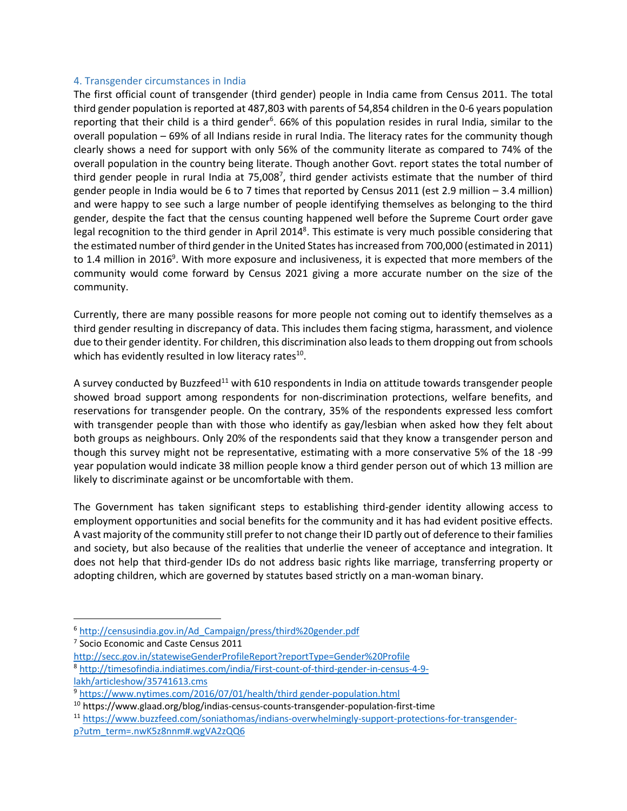# 4. Transgender circumstances in India

The first official count of transgender (third gender) people in India came from Census 2011. The total third gender population is reported at 487,803 with parents of 54,854 children in the 0-6 years population reporting that their child is a third gender<sup>6</sup>. 66% of this population resides in rural India, similar to the overall population – 69% of all Indians reside in rural India. The literacy rates for the community though clearly shows a need for support with only 56% of the community literate as compared to 74% of the overall population in the country being literate. Though another Govt. report states the total number of third gender people in rural India at 75,008<sup>7</sup>, third gender activists estimate that the number of third gender people in India would be 6 to 7 times that reported by Census 2011 (est 2.9 million – 3.4 million) and were happy to see such a large number of people identifying themselves as belonging to the third gender, despite the fact that the census counting happened well before the Supreme Court order gave legal recognition to the third gender in April 2014<sup>8</sup>. This estimate is very much possible considering that the estimated number of third gender in the United States has increased from 700,000 (estimated in 2011) to 1.4 million in 2016<sup>9</sup>. With more exposure and inclusiveness, it is expected that more members of the community would come forward by Census 2021 giving a more accurate number on the size of the community.

Currently, there are many possible reasons for more people not coming out to identify themselves as a third gender resulting in discrepancy of data. This includes them facing stigma, harassment, and violence due to their gender identity. For children, this discrimination also leads to them dropping out from schools which has evidently resulted in low literacy rates $^{10}$ .

A survey conducted by Buzzfeed<sup>11</sup> with 610 respondents in India on attitude towards transgender people showed broad support among respondents for non-discrimination protections, welfare benefits, and reservations for transgender people. On the contrary, 35% of the respondents expressed less comfort with transgender people than with those who identify as gay/lesbian when asked how they felt about both groups as neighbours. Only 20% of the respondents said that they know a transgender person and though this survey might not be representative, estimating with a more conservative 5% of the 18 -99 year population would indicate 38 million people know a third gender person out of which 13 million are likely to discriminate against or be uncomfortable with them.

The Government has taken significant steps to establishing third-gender identity allowing access to employment opportunities and social benefits for the community and it has had evident positive effects. A vast majority of the community still prefer to not change their ID partly out of deference to their families and society, but also because of the realities that underlie the veneer of acceptance and integration. It does not help that third-gender IDs do not address basic rights like marriage, transferring property or adopting children, which are governed by statutes based strictly on a man-woman binary.

http://secc.gov.in/statewiseGenderProfileReport?reportType=Gender%20Profile 8 http://timesofindia.indiatimes.com/india/First-count-of-third-gender-in-census-4-9 lakh/articleshow/35741613.cms

<sup>6</sup> http://censusindia.gov.in/Ad\_Campaign/press/third%20gender.pdf

<sup>&</sup>lt;sup>7</sup> Socio Economic and Caste Census 2011

<sup>9</sup> https://www.nytimes.com/2016/07/01/health/third gender-population.html

<sup>10</sup> https://www.glaad.org/blog/indias-census-counts-transgender-population-first-time

<sup>11</sup> https://www.buzzfeed.com/soniathomas/indians-overwhelmingly-support-protections-for-transgenderp?utm\_term=.nwK5z8nnm#.wgVA2zQQ6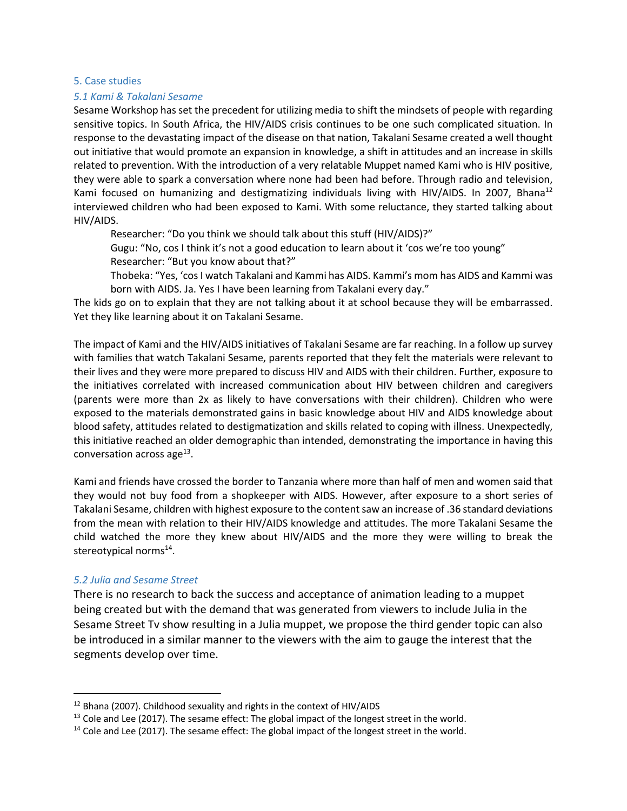#### 5. Case studies

#### *5.1 Kami & Takalani Sesame*

Sesame Workshop hasset the precedent for utilizing media to shift the mindsets of people with regarding sensitive topics. In South Africa, the HIV/AIDS crisis continues to be one such complicated situation. In response to the devastating impact of the disease on that nation, Takalani Sesame created a well thought out initiative that would promote an expansion in knowledge, a shift in attitudes and an increase in skills related to prevention. With the introduction of a very relatable Muppet named Kami who is HIV positive, they were able to spark a conversation where none had been had before. Through radio and television, Kami focused on humanizing and destigmatizing individuals living with HIV/AIDS. In 2007, Bhana<sup>12</sup> interviewed children who had been exposed to Kami. With some reluctance, they started talking about HIV/AIDS.

Researcher: "Do you think we should talk about this stuff (HIV/AIDS)?" Gugu: "No, cos I think it's not a good education to learn about it 'cos we're too young"

Researcher: "But you know about that?"

Thobeka: "Yes, 'cos I watch Takalani and Kammi has AIDS. Kammi's mom has AIDS and Kammi was born with AIDS. Ja. Yes I have been learning from Takalani every day."

The kids go on to explain that they are not talking about it at school because they will be embarrassed. Yet they like learning about it on Takalani Sesame.

The impact of Kami and the HIV/AIDS initiatives of Takalani Sesame are far reaching. In a follow up survey with families that watch Takalani Sesame, parents reported that they felt the materials were relevant to their lives and they were more prepared to discuss HIV and AIDS with their children. Further, exposure to the initiatives correlated with increased communication about HIV between children and caregivers (parents were more than 2x as likely to have conversations with their children). Children who were exposed to the materials demonstrated gains in basic knowledge about HIV and AIDS knowledge about blood safety, attitudes related to destigmatization and skills related to coping with illness. Unexpectedly, this initiative reached an older demographic than intended, demonstrating the importance in having this conversation across age $^{13}$ .

Kami and friends have crossed the border to Tanzania where more than half of men and women said that they would not buy food from a shopkeeper with AIDS. However, after exposure to a short series of Takalani Sesame, children with highest exposure to the content saw an increase of .36 standard deviations from the mean with relation to their HIV/AIDS knowledge and attitudes. The more Takalani Sesame the child watched the more they knew about HIV/AIDS and the more they were willing to break the stereotypical norms<sup>14</sup>.

# *5.2 Julia and Sesame Street*

There is no research to back the success and acceptance of animation leading to a muppet being created but with the demand that was generated from viewers to include Julia in the Sesame Street Tv show resulting in a Julia muppet, we propose the third gender topic can also be introduced in a similar manner to the viewers with the aim to gauge the interest that the segments develop over time.

 $12$  Bhana (2007). Childhood sexuality and rights in the context of HIV/AIDS

<sup>&</sup>lt;sup>13</sup> Cole and Lee (2017). The sesame effect: The global impact of the longest street in the world.<br><sup>14</sup> Cole and Lee (2017). The sesame effect: The global impact of the longest street in the world.